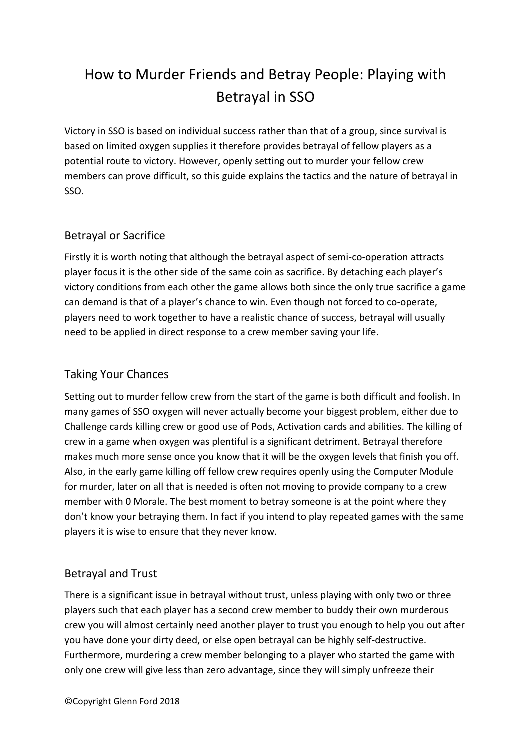# How to Murder Friends and Betray People: Playing with Betrayal in SSO

Victory in SSO is based on individual success rather than that of a group, since survival is based on limited oxygen supplies it therefore provides betrayal of fellow players as a potential route to victory. However, openly setting out to murder your fellow crew members can prove difficult, so this guide explains the tactics and the nature of betrayal in SSO.

## Betrayal or Sacrifice

Firstly it is worth noting that although the betrayal aspect of semi-co-operation attracts player focus it is the other side of the same coin as sacrifice. By detaching each player's victory conditions from each other the game allows both since the only true sacrifice a game can demand is that of a player's chance to win. Even though not forced to co-operate, players need to work together to have a realistic chance of success, betrayal will usually need to be applied in direct response to a crew member saving your life.

## Taking Your Chances

Setting out to murder fellow crew from the start of the game is both difficult and foolish. In many games of SSO oxygen will never actually become your biggest problem, either due to Challenge cards killing crew or good use of Pods, Activation cards and abilities. The killing of crew in a game when oxygen was plentiful is a significant detriment. Betrayal therefore makes much more sense once you know that it will be the oxygen levels that finish you off. Also, in the early game killing off fellow crew requires openly using the Computer Module for murder, later on all that is needed is often not moving to provide company to a crew member with 0 Morale. The best moment to betray someone is at the point where they don't know your betraying them. In fact if you intend to play repeated games with the same players it is wise to ensure that they never know.

## Betrayal and Trust

There is a significant issue in betrayal without trust, unless playing with only two or three players such that each player has a second crew member to buddy their own murderous crew you will almost certainly need another player to trust you enough to help you out after you have done your dirty deed, or else open betrayal can be highly self-destructive. Furthermore, murdering a crew member belonging to a player who started the game with only one crew will give less than zero advantage, since they will simply unfreeze their